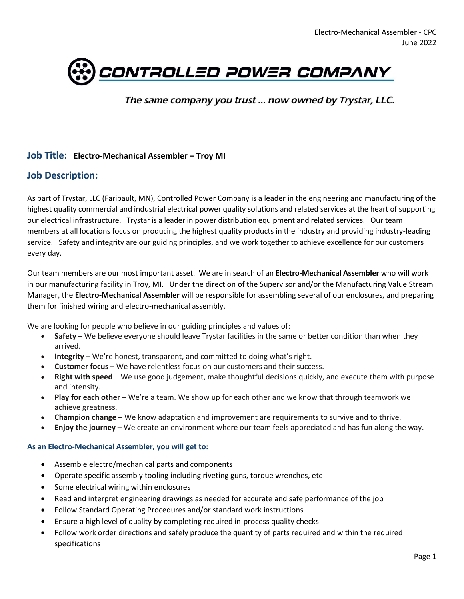

The same company you trust ... now owned by Trystar, LLC.

#### **Job Title: Electro-Mechanical Assembler – Troy MI**

## **Job Description:**

As part of Trystar, LLC (Faribault, MN), Controlled Power Company is a leader in the engineering and manufacturing of the highest quality commercial and industrial electrical power quality solutions and related services at the heart of supporting our electrical infrastructure. Trystar is a leader in power distribution equipment and related services. Our team members at all locations focus on producing the highest quality products in the industry and providing industry-leading service. Safety and integrity are our guiding principles, and we work together to achieve excellence for our customers every day.

Our team members are our most important asset. We are in search of an **Electro-Mechanical Assembler** who will work in our manufacturing facility in Troy, MI. Under the direction of the Supervisor and/or the Manufacturing Value Stream Manager, the **Electro-Mechanical Assembler** will be responsible for assembling several of our enclosures, and preparing them for finished wiring and electro-mechanical assembly.

We are looking for people who believe in our guiding principles and values of:

- **Safety** We believe everyone should leave Trystar facilities in the same or better condition than when they arrived.
- **Integrity** We're honest, transparent, and committed to doing what's right.
- **Customer focus** We have relentless focus on our customers and their success.
- **Right with speed** We use good judgement, make thoughtful decisions quickly, and execute them with purpose and intensity.
- **Play for each other** We're a team. We show up for each other and we know that through teamwork we achieve greatness.
- **Champion change** We know adaptation and improvement are requirements to survive and to thrive.
- **Enjoy the journey** We create an environment where our team feels appreciated and has fun along the way.

#### **As an Electro-Mechanical Assembler, you will get to:**

- Assemble electro/mechanical parts and components
- Operate specific assembly tooling including riveting guns, torque wrenches, etc
- Some electrical wiring within enclosures
- Read and interpret engineering drawings as needed for accurate and safe performance of the job
- Follow Standard Operating Procedures and/or standard work instructions
- Ensure a high level of quality by completing required in-process quality checks
- Follow work order directions and safely produce the quantity of parts required and within the required specifications